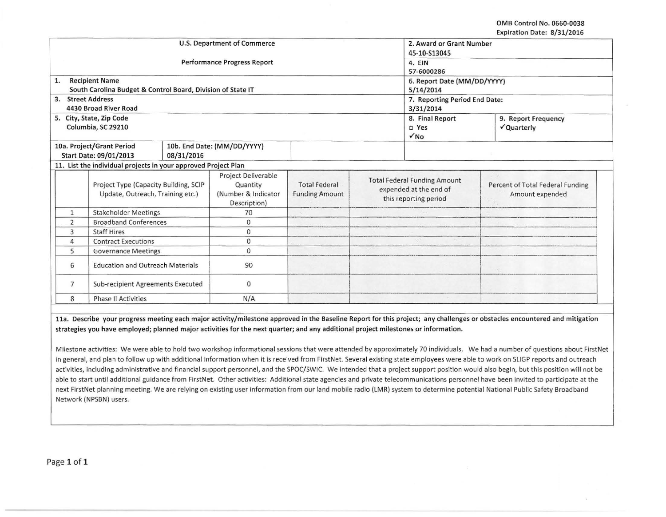OMB Control No. 0660-0038 Expiration Date: 8/31/2016

|                                                                           |                                                                             |                                                        |                                               |                                                                                        |  |                                                     | $\mathsf{exp}(\mathsf{a}(\mathsf{out}) \mathsf{back}, \mathsf{a})$ |  |
|---------------------------------------------------------------------------|-----------------------------------------------------------------------------|--------------------------------------------------------|-----------------------------------------------|----------------------------------------------------------------------------------------|--|-----------------------------------------------------|--------------------------------------------------------------------|--|
| <b>U.S. Department of Commerce</b>                                        |                                                                             |                                                        |                                               |                                                                                        |  | 2. Award or Grant Number                            |                                                                    |  |
|                                                                           |                                                                             |                                                        | 45-10-S13045                                  |                                                                                        |  |                                                     |                                                                    |  |
|                                                                           |                                                                             | <b>Performance Progress Report</b>                     | 4. EIN                                        |                                                                                        |  |                                                     |                                                                    |  |
|                                                                           |                                                                             |                                                        |                                               |                                                                                        |  | 57-6000286                                          |                                                                    |  |
| 1.                                                                        | <b>Recipient Name</b>                                                       |                                                        |                                               |                                                                                        |  | 6. Report Date (MM/DD/YYYY)                         |                                                                    |  |
|                                                                           | South Carolina Budget & Control Board, Division of State IT                 |                                                        |                                               |                                                                                        |  | 5/14/2014                                           |                                                                    |  |
| 3. Street Address                                                         |                                                                             |                                                        |                                               |                                                                                        |  | 7. Reporting Period End Date:                       |                                                                    |  |
|                                                                           | 4430 Broad River Road                                                       |                                                        |                                               |                                                                                        |  | 3/31/2014                                           |                                                                    |  |
|                                                                           | 5. City, State, Zip Code                                                    |                                                        |                                               |                                                                                        |  | 8. Final Report                                     | 9. Report Frequency                                                |  |
|                                                                           | Columbia, SC 29210                                                          |                                                        |                                               |                                                                                        |  | D Yes                                               | √Quarterly                                                         |  |
|                                                                           |                                                                             |                                                        |                                               |                                                                                        |  | $\sqrt{NQ}$                                         |                                                                    |  |
|                                                                           | 10a. Project/Grant Period                                                   |                                                        | 10b. End Date: (MM/DD/YYYY)                   |                                                                                        |  |                                                     |                                                                    |  |
|                                                                           | Start Date: 09/01/2013                                                      | 08/31/2016                                             |                                               |                                                                                        |  |                                                     |                                                                    |  |
|                                                                           | 11. List the individual projects in your approved Project Plan              |                                                        |                                               |                                                                                        |  |                                                     |                                                                    |  |
| Project Type (Capacity Building, SCIP<br>Update, Outreach, Training etc.) |                                                                             | Project Deliverable<br>Quantity<br>(Number & Indicator | <b>Total Federal</b><br><b>Funding Amount</b> | <b>Total Federal Funding Amount</b><br>expended at the end of<br>this reporting period |  | Percent of Total Federal Funding<br>Amount expended |                                                                    |  |
|                                                                           |                                                                             | Description)<br>70                                     |                                               |                                                                                        |  |                                                     |                                                                    |  |
|                                                                           | <b>Stakeholder Meetings</b><br>$\mathbf{1}$<br><b>Broadband Conferences</b> |                                                        |                                               |                                                                                        |  |                                                     |                                                                    |  |
| $\overline{2}$                                                            |                                                                             |                                                        | $\mathbf{0}$                                  |                                                                                        |  |                                                     |                                                                    |  |
| 3<br><b>Staff Hires</b>                                                   |                                                                             | 0                                                      |                                               |                                                                                        |  |                                                     |                                                                    |  |
| <b>Contract Executions</b><br>4                                           |                                                                             | 0                                                      |                                               |                                                                                        |  |                                                     |                                                                    |  |
| 5<br><b>Governance Meetings</b>                                           |                                                                             | $\mathbf{0}$                                           |                                               |                                                                                        |  |                                                     |                                                                    |  |
| <b>Education and Outreach Materials</b><br>6                              |                                                                             | 90                                                     |                                               |                                                                                        |  |                                                     |                                                                    |  |
| 7                                                                         | Sub-recipient Agreements Executed                                           |                                                        | $\mathbf 0$                                   |                                                                                        |  |                                                     |                                                                    |  |
| 8                                                                         | <b>Phase II Activities</b>                                                  |                                                        | N/A                                           |                                                                                        |  |                                                     |                                                                    |  |

11a. Describe your progress meeting each major activity/milestone approved in the Baseline Report for this project; any challenges or obstacles encountered and mitigation strategies you have employed; planned major activities for the next quarter; and any additional project milestones or information.

Milestone activities: We were able to hold two workshop informational sessions that were attended by approximately 70 individuals. We had a number of questions about FirstNet in general, and plan to follow up with additional information when it is received from FirstNet. Several existing state employees were able to work on SLIGP reports and outreach activities, including administrative and financial support personnel, and the SPOC/SWIC. We intended that a project support position would also begin, but this position will not be able to start until additional guidance from FirstNet. Other activities: Additional state agencies and private telecommunications personnel have been invited to participate at the next FirstNet planning meeting. We are relying on existing user information from our land mobile radio (LMR) system to determine potential National Public Safety Broadband Network (NPSBN) users.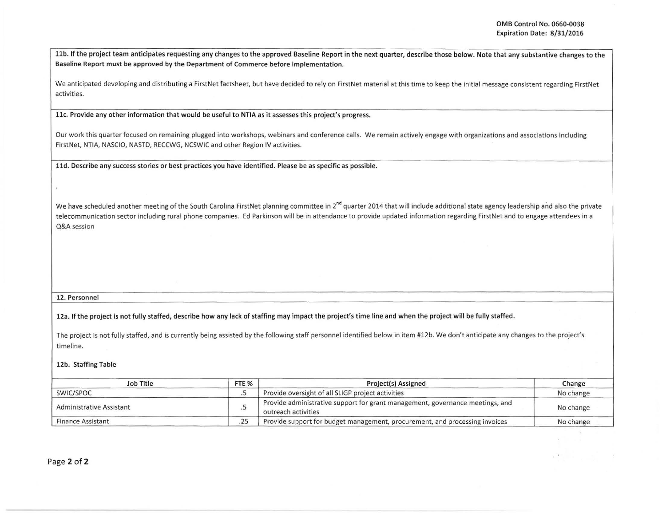11b. If the project team anticipates requesting any changes to the approved Baseline Report in the next quarter, describe those below. Note that any substantive changes to the Baseline Report must be approved by the Department of Commerce before implementation.

We anticipated developing and distributing a FirstNet factsheet, but have decided to rely on FirstNet material at this time to keep the initial message consistent regarding FirstNet activities.

llc. Provide any other information that would be useful to NTIA as it assesses this project's progress.

Our work this quarter focused on remaining plugged into workshops, webinars and conference calls. We remain actively engage with organizations and associations including FirstNet, NTIA, NASCIO, NASTD, RECCWG, NCSWIC and other Region IV activities.

11d. Describe any success stories or best practices you have identified. Please be as specific as possible.

We have scheduled another meeting of the South Carolina FirstNet planning committee in  $2^{nd}$  quarter 2014 that will include additional state agency leadership and also the private telecommunication sector including rural phone companies. Ed Parkinson will be in attendance to provide updated information regarding FirstNet and to engage attendees in a Q&A session

## 12. Personnel

12a. If the project is not fully staffed, describe how any lack of staffing may impact the project's time line and w hen the project will be fully staffed.

The project is not fully staffed, and is currently being assisted by the following staff personnel identified below in item #12b. We don't anticipate any changes to the project's timeline.

## 12b. Staffing Table

| Job Title                | FTE <sub>%</sub> | Project(s) Assigned                                                                                  | Change    |
|--------------------------|------------------|------------------------------------------------------------------------------------------------------|-----------|
| SWIC/SPOC                |                  | Provide oversight of all SLIGP project activities                                                    | No change |
| Administrative Assistant |                  | Provide administrative support for grant management, governance meetings, and<br>outreach activities | No change |
| Finance Assistant        | .25              | Provide support for budget management, procurement, and processing invoices                          | No change |

Page 2 of 2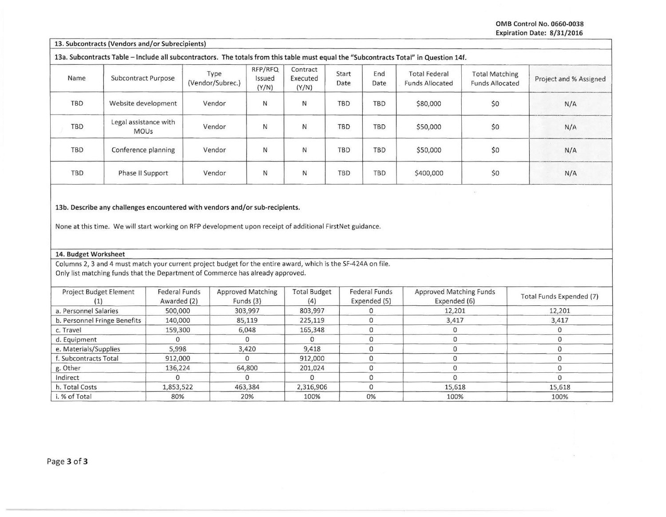OMB Control No. 0660-0038 Expiration Date: 8/31/2016

ng)

13. Subcontracts (Vendors and/or Subrecipients)

13a. Subcontracts Table -Include all subcontractors. The totals from this table must equal the "Subcontracts Total" in Question 14f.

| Name       | <b>Subcontract Purpose</b>           | Type<br>(Vendor/Subrec.) | RFP/RFQ<br>Issued<br>(Y/N) | Contract<br>Executed<br>(Y/N) | Start<br>Date | End<br>Date | <b>Total Federal</b><br><b>Funds Allocated</b> | <b>Total Matching</b><br><b>Funds Allocated</b> | Project and % Assigned |
|------------|--------------------------------------|--------------------------|----------------------------|-------------------------------|---------------|-------------|------------------------------------------------|-------------------------------------------------|------------------------|
| TBD        | Website development                  | Vendor                   | N                          | N                             | TBD           | TBD         | \$80,000                                       | \$0                                             | N/A                    |
| <b>TBD</b> | Legal assistance with<br><b>MOUs</b> | Vendor                   | N                          | N                             | TBD           | <b>TBD</b>  | \$50,000                                       | \$0                                             | N/A                    |
| TBD        | Conference planning                  | Vendor                   | N                          | N                             | TBD           | TBD         | \$50,000                                       | \$0                                             | N/A                    |
| TBD        | Phase II Support                     | Vendor                   | N                          | N                             | <b>TBD</b>    | <b>TBD</b>  | \$400,000                                      | \$0                                             | N/A                    |

13b. Describe any challenges encountered with vendors and/or sub-recipients.

None at this time. We will start working on RFP development upon receipt of additional FirstNet guidance.

## 14. Budget Worksheet

Columns 2, 3 and 4 must match your current project budget for the entire award, which is the SF-424A on file. Only list matching funds that the Department of Commerce has already approved.

| <b>Project Budget Element</b> | <b>Federal Funds</b><br>Awarded (2) | <b>Approved Matching</b><br>Funds $(3)$ | <b>Total Budget</b> | <b>Federal Funds</b><br>Expended (5) | <b>Approved Matching Funds</b><br>Expended (6) | Total Funds Expended (7) |
|-------------------------------|-------------------------------------|-----------------------------------------|---------------------|--------------------------------------|------------------------------------------------|--------------------------|
| a. Personnel Salaries         | 500,000                             | 303,997                                 | 803,997             |                                      | 12,201                                         | 12,201                   |
| b. Personnel Fringe Benefits  | 140,000                             | 85,119                                  | 225,119             |                                      | 3,417                                          | 3,417                    |
| c. Travel                     | 159,300                             | 6,048                                   | 165,348             |                                      |                                                |                          |
| d. Equipment                  |                                     |                                         |                     |                                      |                                                |                          |
| e. Materials/Supplies         | 5,998                               | 3,420                                   | 9,418               |                                      |                                                |                          |
| f. Subcontracts Total         | 912,000                             |                                         | 912,000             |                                      |                                                |                          |
| g. Other                      | 136,224                             | 64,800                                  | 201,024             |                                      |                                                |                          |
| Indirect                      |                                     |                                         |                     |                                      |                                                |                          |
| h. Total Costs                | 1,853,522                           | 463,384                                 | 2,316,906           |                                      | 15,618                                         | 15,618                   |
| i. % of Total                 | 80%                                 | 20%                                     | 100%                | 0%                                   | 100%                                           | 100%                     |